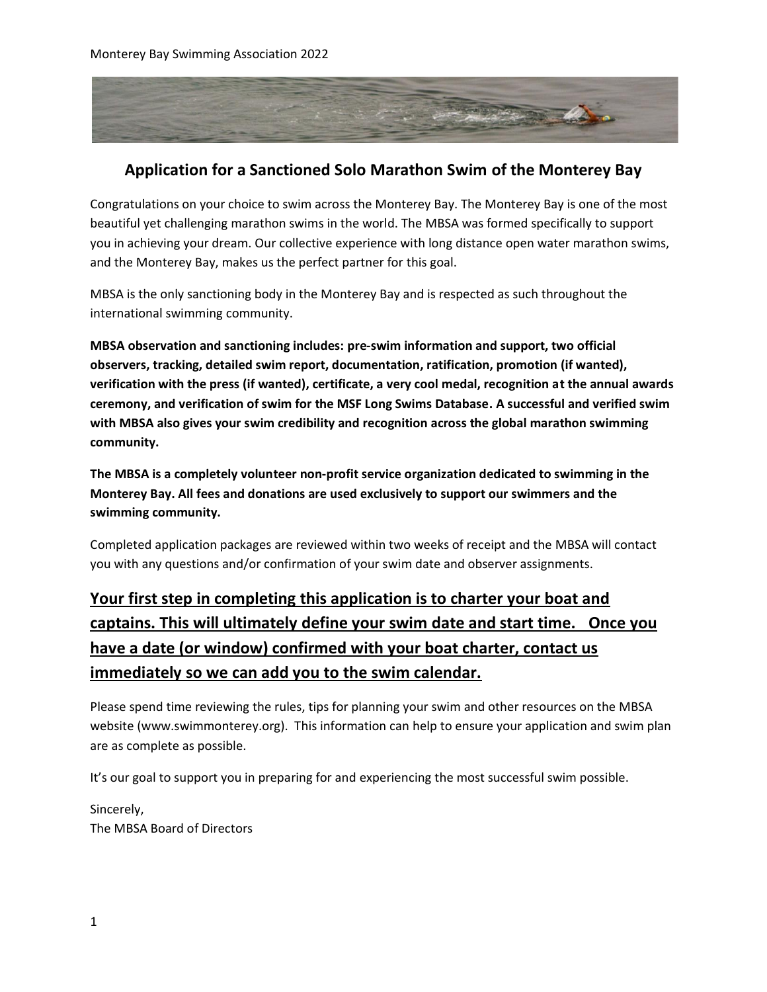

### **Application for a Sanctioned Solo Marathon Swim of the Monterey Bay**

Congratulations on your choice to swim across the Monterey Bay. The Monterey Bay is one of the most beautiful yet challenging marathon swims in the world. The MBSA was formed specifically to support you in achieving your dream. Our collective experience with long distance open water marathon swims, and the Monterey Bay, makes us the perfect partner for this goal.

MBSA is the only sanctioning body in the Monterey Bay and is respected as such throughout the international swimming community.

**MBSA observation and sanctioning includes: pre-swim information and support, two official observers, tracking, detailed swim report, documentation, ratification, promotion (if wanted), verification with the press (if wanted), certificate, a very cool medal, recognition at the annual awards ceremony, and verification of swim for the MSF Long Swims Database. A successful and verified swim with MBSA also gives your swim credibility and recognition across the global marathon swimming community.** 

**The MBSA is a completely volunteer non-profit service organization dedicated to swimming in the Monterey Bay. All fees and donations are used exclusively to support our swimmers and the swimming community.** 

Completed application packages are reviewed within two weeks of receipt and the MBSA will contact you with any questions and/or confirmation of your swim date and observer assignments.

# **Your first step in completing this application is to charter your boat and captains. This will ultimately define your swim date and start time. Once you have a date (or window) confirmed with your boat charter, contact us immediately so we can add you to the swim calendar.**

Please spend time reviewing the rules, tips for planning your swim and other resources on the MBSA website (www.swimmonterey.org). This information can help to ensure your application and swim plan are as complete as possible.

It's our goal to support you in preparing for and experiencing the most successful swim possible.

Sincerely, The MBSA Board of Directors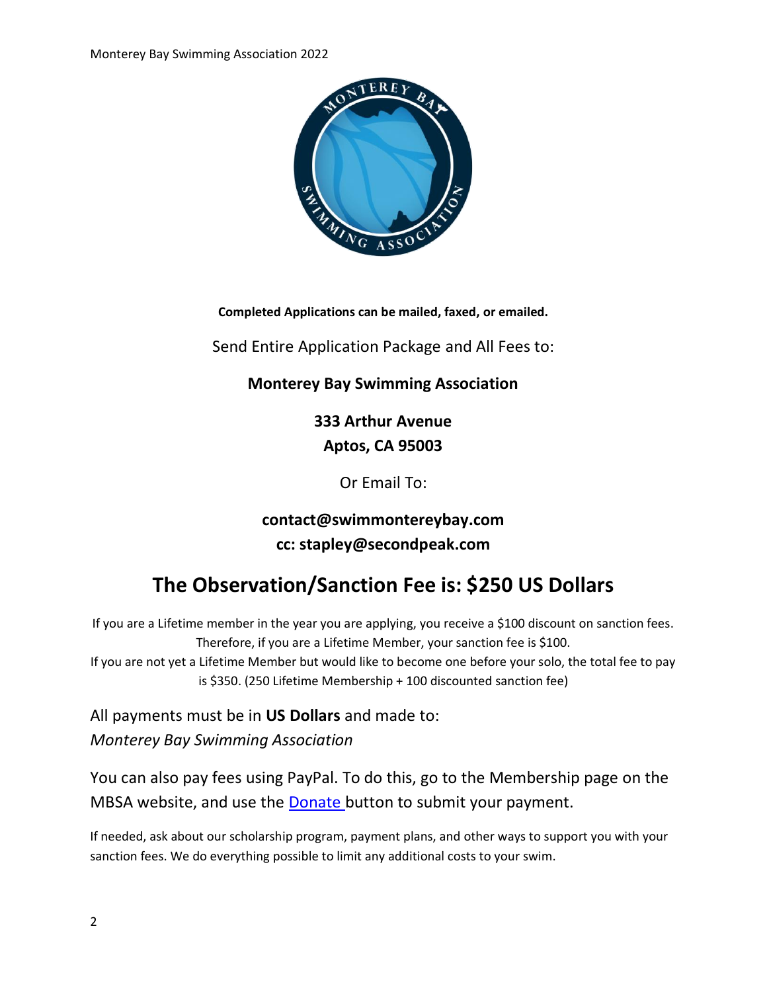

**Completed Applications can be mailed, faxed, or emailed.**

Send Entire Application Package and All Fees to:

### **Monterey Bay Swimming Association**

**333 Arthur Avenue Aptos, CA 95003**

Or Email To:

# **contact@swimmontereybay.com cc: stapley@secondpeak.com**

# **The Observation/Sanction Fee is: \$250 US Dollars**

If you are a Lifetime member in the year you are applying, you receive a \$100 discount on sanction fees. Therefore, if you are a Lifetime Member, your sanction fee is \$100. If you are not yet a Lifetime Member but would like to become one before your solo, the total fee to pay is \$350. (250 Lifetime Membership + 100 discounted sanction fee)

All payments must be in **US Dollars** and made to: *Monterey Bay Swimming Association*

You can also pay fees using PayPal. To do this, go to the Membership page on the MBSA website, and use the [Donate b](http://www.swimmontereybay.org/become-a-member.html)utton to submit your payment.

If needed, ask about our scholarship program, payment plans, and other ways to support you with your sanction fees. We do everything possible to limit any additional costs to your swim.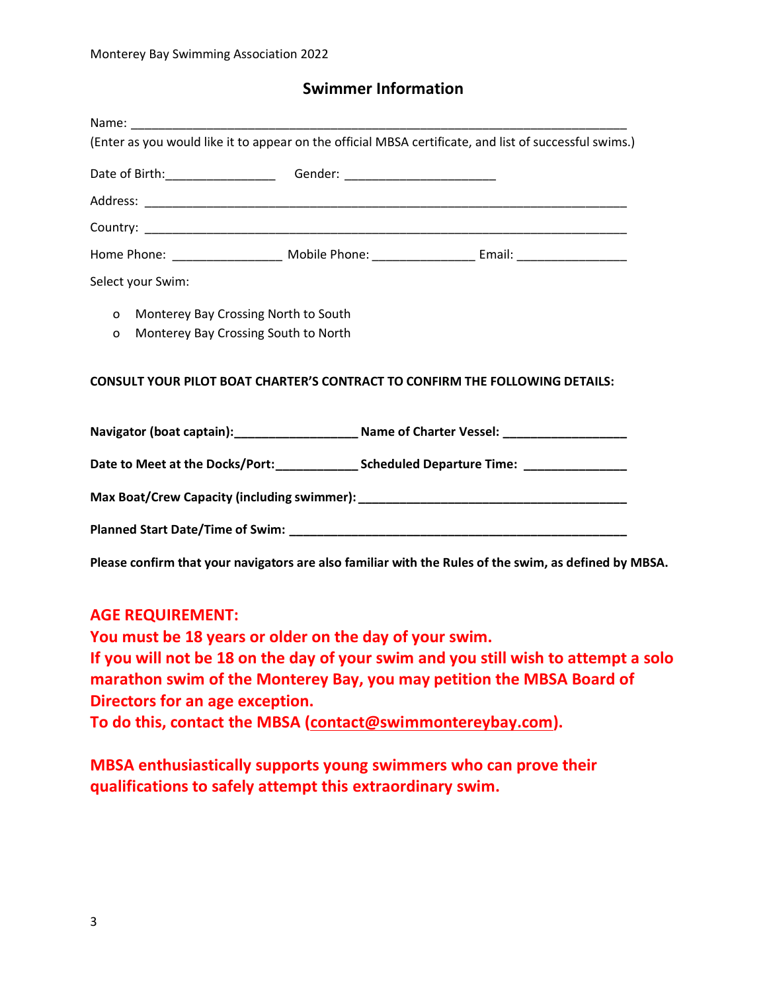### **Swimmer Information**

|                                                                                                          | (Enter as you would like it to appear on the official MBSA certificate, and list of successful swims.) |
|----------------------------------------------------------------------------------------------------------|--------------------------------------------------------------------------------------------------------|
|                                                                                                          |                                                                                                        |
|                                                                                                          |                                                                                                        |
|                                                                                                          |                                                                                                        |
|                                                                                                          |                                                                                                        |
| Select your Swim:                                                                                        |                                                                                                        |
| Monterey Bay Crossing North to South<br>$\mathsf{o}$<br>Monterey Bay Crossing South to North<br>$\Omega$ |                                                                                                        |
|                                                                                                          | <b>CONSULT YOUR PILOT BOAT CHARTER'S CONTRACT TO CONFIRM THE FOLLOWING DETAILS:</b>                    |
|                                                                                                          | Navigator (boat captain):________________________ Name of Charter Vessel: _________________________    |
|                                                                                                          |                                                                                                        |
|                                                                                                          |                                                                                                        |
|                                                                                                          |                                                                                                        |
|                                                                                                          | Please confirm that your navigators are also familiar with the Rules of the swim, as defined by MBSA.  |

### **AGE REQUIREMENT:**

**You must be 18 years or older on the day of your swim. If you will not be 18 on the day of your swim and you still wish to attempt a solo marathon swim of the Monterey Bay, you may petition the MBSA Board of Directors for an age exception.**

**To do this, contact the MBSA [\(contact@swimmontereybay.com\)](mailto:contact@swimmontereybay.com).** 

**MBSA enthusiastically supports young swimmers who can prove their qualifications to safely attempt this extraordinary swim.**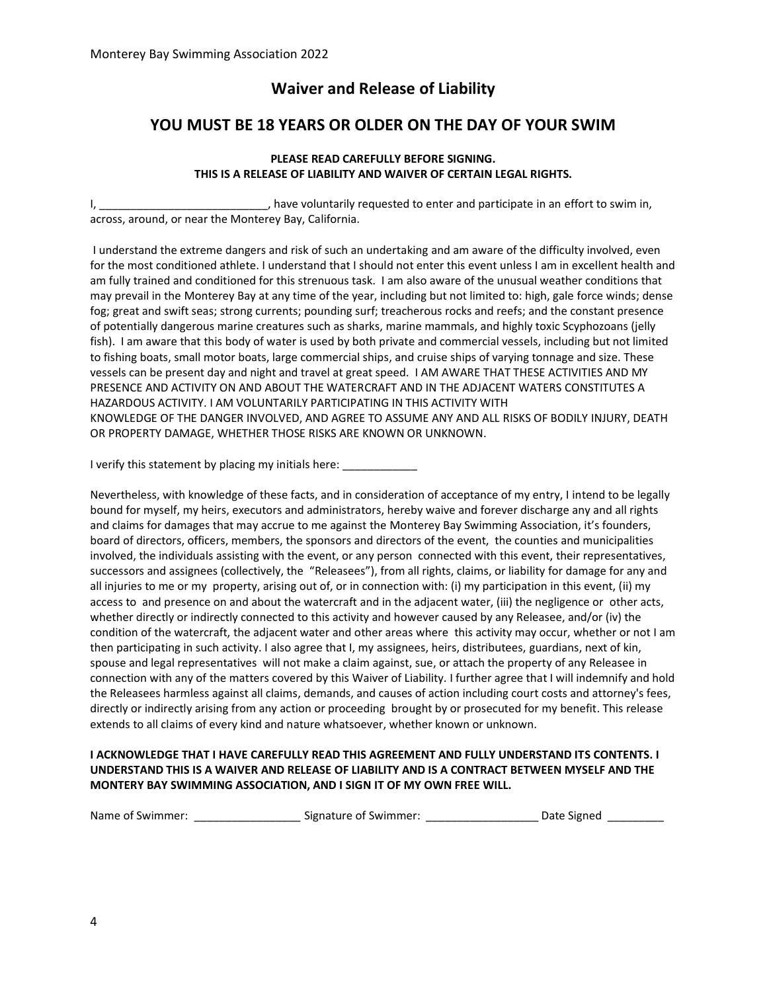### **Waiver and Release of Liability**

### **YOU MUST BE 18 YEARS OR OLDER ON THE DAY OF YOUR SWIM**

#### **PLEASE READ CAREFULLY BEFORE SIGNING. THIS IS A RELEASE OF LIABILITY AND WAIVER OF CERTAIN LEGAL RIGHTS.**

I, the section of the voluntarily requested to enter and participate in an effort to swim in, across, around, or near the Monterey Bay, California.

I understand the extreme dangers and risk of such an undertaking and am aware of the difficulty involved, even for the most conditioned athlete. I understand that I should not enter this event unless I am in excellent health and am fully trained and conditioned for this strenuous task. I am also aware of the unusual weather conditions that may prevail in the Monterey Bay at any time of the year, including but not limited to: high, gale force winds; dense fog; great and swift seas; strong currents; pounding surf; treacherous rocks and reefs; and the constant presence of potentially dangerous marine creatures such as sharks, marine mammals, and highly toxic Scyphozoans (jelly fish). I am aware that this body of water is used by both private and commercial vessels, including but not limited to fishing boats, small motor boats, large commercial ships, and cruise ships of varying tonnage and size. These vessels can be present day and night and travel at great speed. I AM AWARE THAT THESE ACTIVITIES AND MY PRESENCE AND ACTIVITY ON AND ABOUT THE WATERCRAFT AND IN THE ADJACENT WATERS CONSTITUTES A HAZARDOUS ACTIVITY. I AM VOLUNTARILY PARTICIPATING IN THIS ACTIVITY WITH KNOWLEDGE OF THE DANGER INVOLVED, AND AGREE TO ASSUME ANY AND ALL RISKS OF BODILY INJURY, DEATH OR PROPERTY DAMAGE, WHETHER THOSE RISKS ARE KNOWN OR UNKNOWN.

I verify this statement by placing my initials here:

Nevertheless, with knowledge of these facts, and in consideration of acceptance of my entry, I intend to be legally bound for myself, my heirs, executors and administrators, hereby waive and forever discharge any and all rights and claims for damages that may accrue to me against the Monterey Bay Swimming Association, it's founders, board of directors, officers, members, the sponsors and directors of the event, the counties and municipalities involved, the individuals assisting with the event, or any person connected with this event, their representatives, successors and assignees (collectively, the "Releasees"), from all rights, claims, or liability for damage for any and all injuries to me or my property, arising out of, or in connection with: (i) my participation in this event, (ii) my access to and presence on and about the watercraft and in the adjacent water, (iii) the negligence or other acts, whether directly or indirectly connected to this activity and however caused by any Releasee, and/or (iv) the condition of the watercraft, the adjacent water and other areas where this activity may occur, whether or not I am then participating in such activity. I also agree that I, my assignees, heirs, distributees, guardians, next of kin, spouse and legal representatives will not make a claim against, sue, or attach the property of any Releasee in connection with any of the matters covered by this Waiver of Liability. I further agree that I will indemnify and hold the Releasees harmless against all claims, demands, and causes of action including court costs and attorney's fees, directly or indirectly arising from any action or proceeding brought by or prosecuted for my benefit. This release extends to all claims of every kind and nature whatsoever, whether known or unknown.

#### **I ACKNOWLEDGE THAT I HAVE CAREFULLY READ THIS AGREEMENT AND FULLY UNDERSTAND ITS CONTENTS. I UNDERSTAND THIS IS A WAIVER AND RELEASE OF LIABILITY AND IS A CONTRACT BETWEEN MYSELF AND THE MONTERY BAY SWIMMING ASSOCIATION, AND I SIGN IT OF MY OWN FREE WILL.**

| Name of Swimmer: | Signature of Swimmer: |  | Date Signed |
|------------------|-----------------------|--|-------------|
|------------------|-----------------------|--|-------------|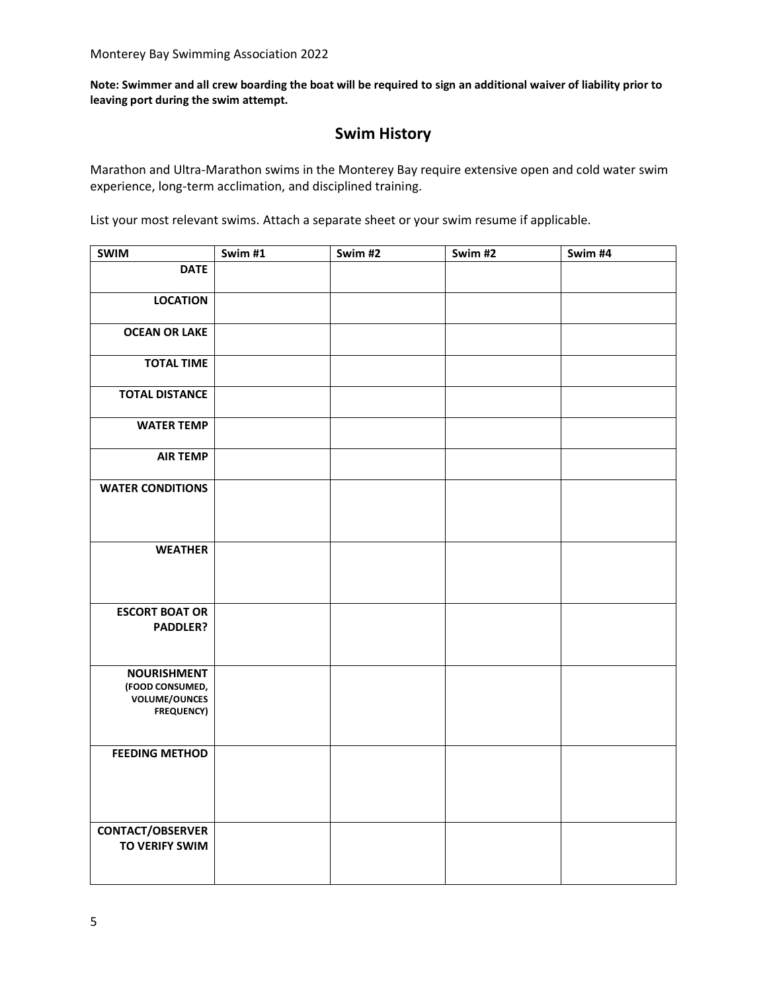**Note: Swimmer and all crew boarding the boat will be required to sign an additional waiver of liability prior to leaving port during the swim attempt.**

### **Swim History**

Marathon and Ultra-Marathon swims in the Monterey Bay require extensive open and cold water swim experience, long-term acclimation, and disciplined training.

List your most relevant swims. Attach a separate sheet or your swim resume if applicable.

| <b>SWIM</b>                                                                        | Swim #1 | Swim #2 | Swim #2 | Swim #4 |
|------------------------------------------------------------------------------------|---------|---------|---------|---------|
| <b>DATE</b>                                                                        |         |         |         |         |
| <b>LOCATION</b>                                                                    |         |         |         |         |
| <b>OCEAN OR LAKE</b>                                                               |         |         |         |         |
| <b>TOTAL TIME</b>                                                                  |         |         |         |         |
| <b>TOTAL DISTANCE</b>                                                              |         |         |         |         |
| <b>WATER TEMP</b>                                                                  |         |         |         |         |
| <b>AIR TEMP</b>                                                                    |         |         |         |         |
| <b>WATER CONDITIONS</b>                                                            |         |         |         |         |
| <b>WEATHER</b>                                                                     |         |         |         |         |
| <b>ESCORT BOAT OR</b><br>PADDLER?                                                  |         |         |         |         |
| <b>NOURISHMENT</b><br>(FOOD CONSUMED,<br><b>VOLUME/OUNCES</b><br><b>FREQUENCY)</b> |         |         |         |         |
| <b>FEEDING METHOD</b>                                                              |         |         |         |         |
| <b>CONTACT/OBSERVER</b><br>TO VERIFY SWIM                                          |         |         |         |         |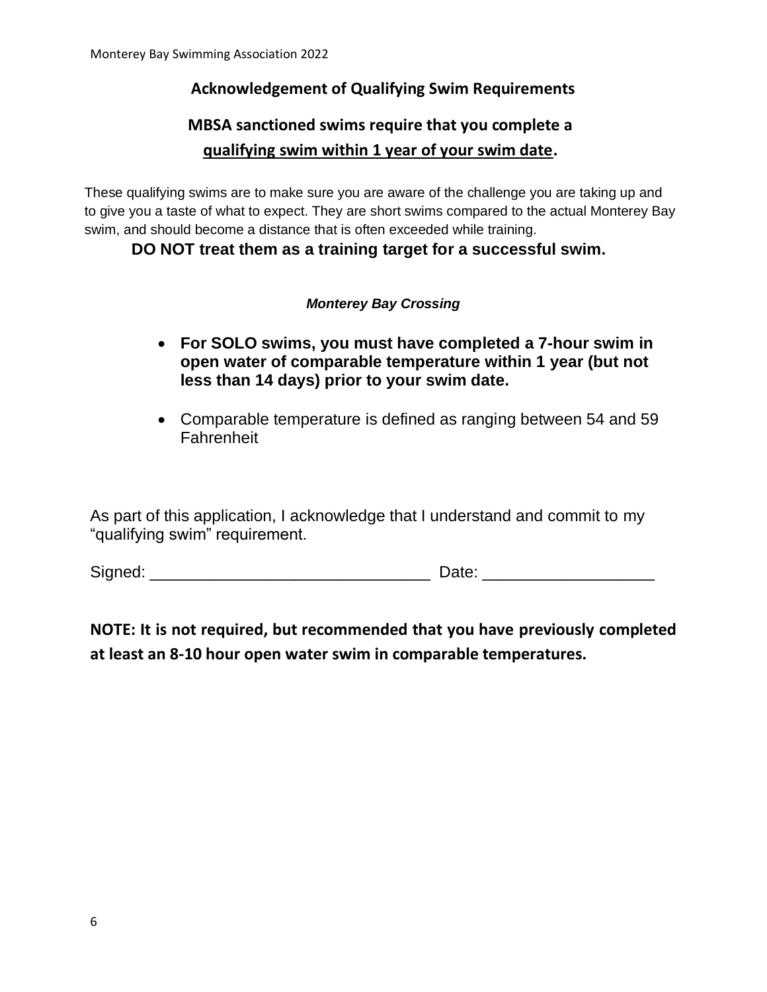### **Acknowledgement of Qualifying Swim Requirements**

# **MBSA sanctioned swims require that you complete a qualifying swim within 1 year of your swim date.**

These qualifying swims are to make sure you are aware of the challenge you are taking up and to give you a taste of what to expect. They are short swims compared to the actual Monterey Bay swim, and should become a distance that is often exceeded while training.

**DO NOT treat them as a training target for a successful swim.**

### *Monterey Bay Crossing*

- **For SOLO swims, you must have completed a 7-hour swim in open water of comparable temperature within 1 year (but not less than 14 days) prior to your swim date.**
- Comparable temperature is defined as ranging between 54 and 59 **Fahrenheit**

As part of this application, I acknowledge that I understand and commit to my "qualifying swim" requirement.

Signed: \_\_\_\_\_\_\_\_\_\_\_\_\_\_\_\_\_\_\_\_\_\_\_\_\_\_\_\_\_\_\_ Date: \_\_\_\_\_\_\_\_\_\_\_\_\_\_\_\_\_\_\_

## **NOTE: It is not required, but recommended that you have previously completed at least an 8-10 hour open water swim in comparable temperatures.**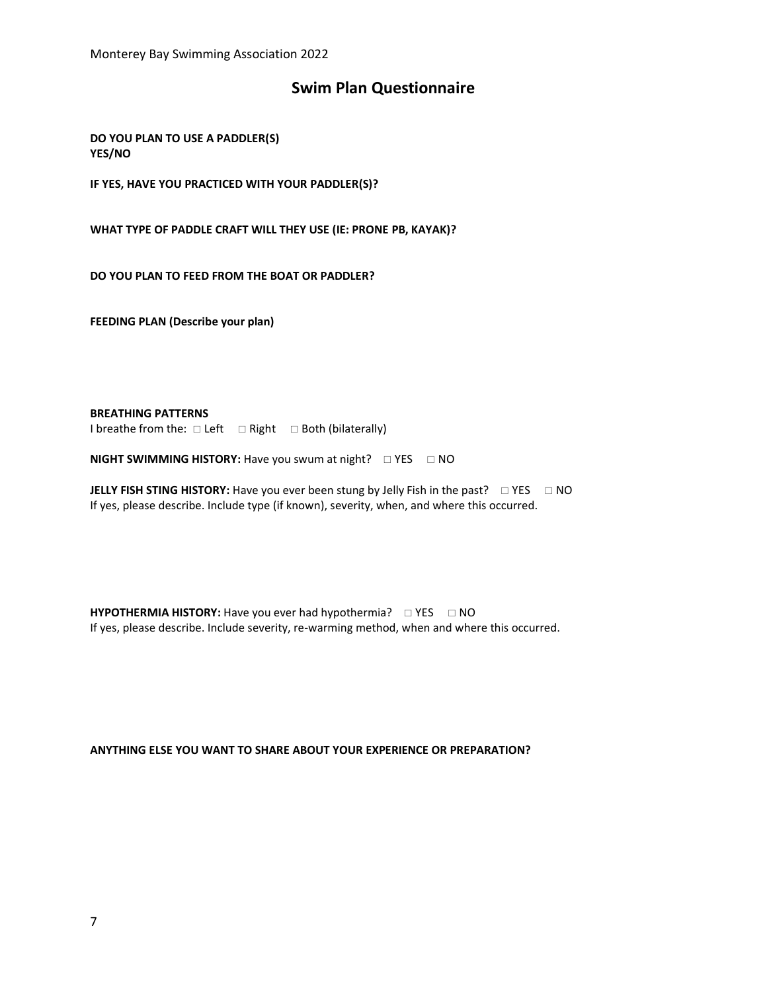Monterey Bay Swimming Association 2022

### **Swim Plan Questionnaire**

**DO YOU PLAN TO USE A PADDLER(S) YES/NO**

**IF YES, HAVE YOU PRACTICED WITH YOUR PADDLER(S)?**

**WHAT TYPE OF PADDLE CRAFT WILL THEY USE (IE: PRONE PB, KAYAK)?**

**DO YOU PLAN TO FEED FROM THE BOAT OR PADDLER?**

**FEEDING PLAN (Describe your plan)**

**BREATHING PATTERNS**

I breathe from the:  $\Box$  Left  $\Box$  Right  $\Box$  Both (bilaterally)

**NIGHT SWIMMING HISTORY:** Have you swum at night?  $\Box$  YES  $\Box$  NO

**JELLY FISH STING HISTORY:** Have you ever been stung by Jelly Fish in the past?  $\Box$  YES  $\Box$  NO If yes, please describe. Include type (if known), severity, when, and where this occurred.

**HYPOTHERMIA HISTORY:** Have you ever had hypothermia?  $\Box$  YES  $\Box$  NO If yes, please describe. Include severity, re-warming method, when and where this occurred.

**ANYTHING ELSE YOU WANT TO SHARE ABOUT YOUR EXPERIENCE OR PREPARATION?**